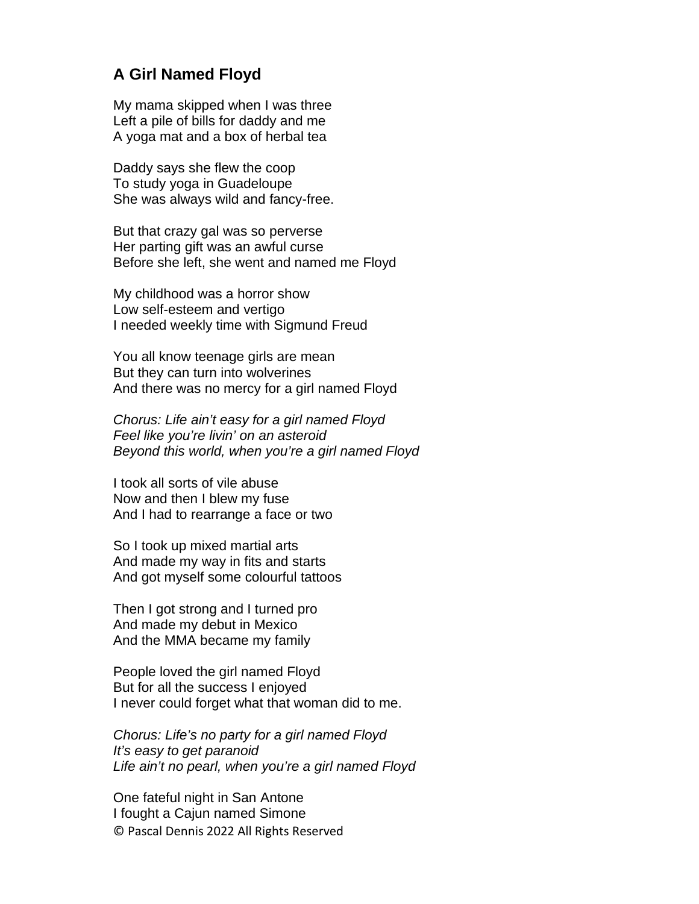## **A Girl Named Floyd**

My mama skipped when I was three Left a pile of bills for daddy and me A yoga mat and a box of herbal tea

Daddy says she flew the coop To study yoga in Guadeloupe She was always wild and fancy-free.

But that crazy gal was so perverse Her parting gift was an awful curse Before she left, she went and named me Floyd

My childhood was a horror show Low self-esteem and vertigo I needed weekly time with Sigmund Freud

You all know teenage girls are mean But they can turn into wolverines And there was no mercy for a girl named Floyd

*Chorus: Life ain't easy for a girl named Floyd Feel like you're livin' on an asteroid Beyond this world, when you're a girl named Floyd*

I took all sorts of vile abuse Now and then I blew my fuse And I had to rearrange a face or two

So I took up mixed martial arts And made my way in fits and starts And got myself some colourful tattoos

Then I got strong and I turned pro And made my debut in Mexico And the MMA became my family

People loved the girl named Floyd But for all the success I enjoyed I never could forget what that woman did to me.

*Chorus: Life's no party for a girl named Floyd It's easy to get paranoid Life ain't no pearl, when you're a girl named Floyd*

© Pascal Dennis 2022 All Rights Reserved One fateful night in San Antone I fought a Cajun named Simone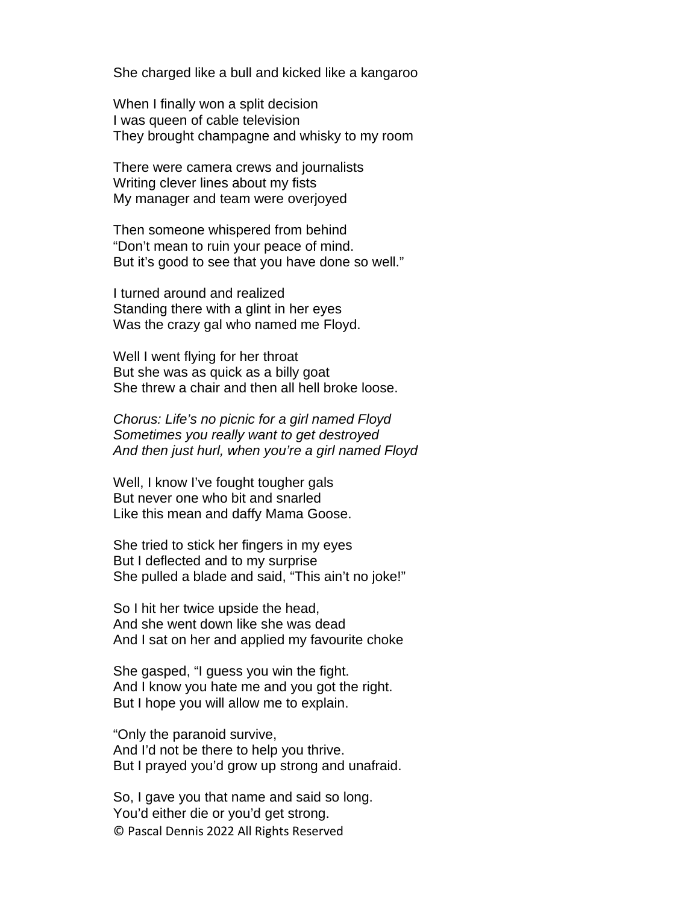She charged like a bull and kicked like a kangaroo

When I finally won a split decision I was queen of cable television They brought champagne and whisky to my room

There were camera crews and journalists Writing clever lines about my fists My manager and team were overjoyed

Then someone whispered from behind "Don't mean to ruin your peace of mind. But it's good to see that you have done so well."

I turned around and realized Standing there with a glint in her eyes Was the crazy gal who named me Floyd.

Well I went flying for her throat But she was as quick as a billy goat She threw a chair and then all hell broke loose.

*Chorus: Life's no picnic for a girl named Floyd Sometimes you really want to get destroyed And then just hurl, when you're a girl named Floyd*

Well, I know I've fought tougher gals But never one who bit and snarled Like this mean and daffy Mama Goose.

She tried to stick her fingers in my eyes But I deflected and to my surprise She pulled a blade and said, "This ain't no joke!"

So I hit her twice upside the head, And she went down like she was dead And I sat on her and applied my favourite choke

She gasped, "I guess you win the fight. And I know you hate me and you got the right. But I hope you will allow me to explain.

"Only the paranoid survive, And I'd not be there to help you thrive. But I prayed you'd grow up strong and unafraid.

© Pascal Dennis 2022 All Rights Reserved So, I gave you that name and said so long. You'd either die or you'd get strong.